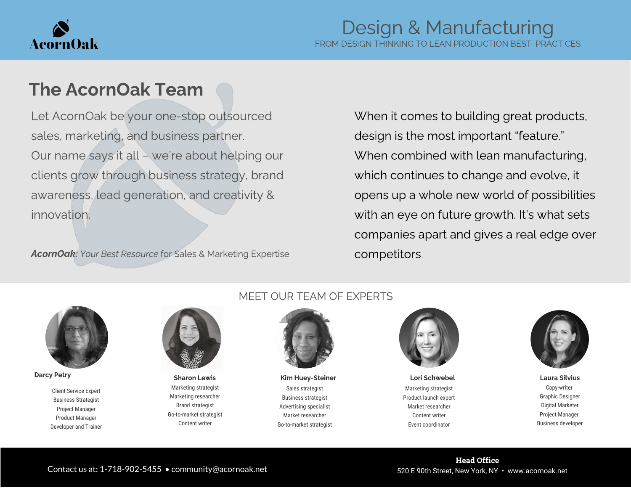

### The AcornOak Team

Let AcornOak be your one-stop outsourced sales, marketing, and business partner. Our name says it all – we're about helping our clients grow through business strategy, brand awareness, lead generation, and creativity & innovation.

AcornOak: Your Best Resource for Sales & Marketing Expertise

When it comes to building great products, design is the most important "feature." When combined with lean manufacturing, which continues to change and evolve, it opens up a whole new world of possibilities with an eye on future growth. It's what sets companies apart and gives a real edge over competitors.



Client Service Expert Business Strategist Project Manager Product Manager Developer and Trainer



Marketing strategist Marketing researcher Brand strategist Go-to-market strategist Content writer

#### MEET OUR TEAM OF EXPERTS



Sales strategist Business strategist Advertising specialist Market researcher Go-to-market strategist Darcy Petry **Sharon Lewis (Example 20)** Sharon Lewis Kim Huey-Steiner Correspondent Lori Schwebel Laura Silvius



Marketing strategist Product launch expert Market researcher Content writer Event coordinator



Copy-writer Graphic Designer Digital Marketer Project Manager Business developer